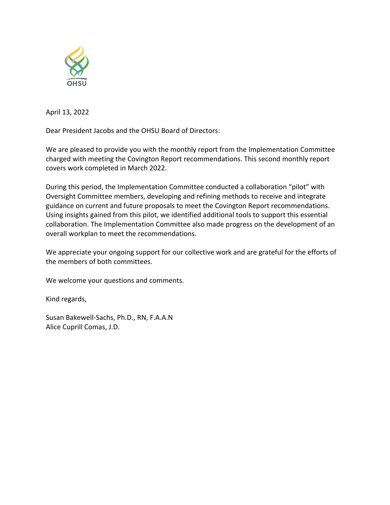

April 13, 2022

Dear President Jacobs and the OHSU Board of Directors:

We are pleased to provide you with the monthly report from the Implementation Committee charged with meeting the Covington Report recommendations. This second monthly report covers work completed in March 2022.

During this period, the Implementation Committee conducted a collaboration "pilot" with Oversight Committee members, developing and refining methods to receive and integrate guidance on current and future proposals to meet the Covington Report recommendations. Using insights gained from this pilot, we identified additional tools to support this essential collaboration. The Implementation Committee also made progress on the development of an overall workplan to meet the recommendations.

We appreciate your ongoing support for our collective work and are grateful for the efforts of the members of both committees.

We welcome your questions and comments.

Kind regards,

Susan Bakewell-Sachs, Ph.D., RN, F.A.A.N Alice Cuprill Comas, J.D.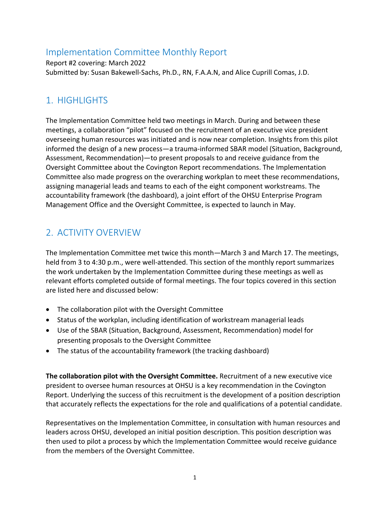### Implementation Committee Monthly Report

Report #2 covering: March 2022 Submitted by: Susan Bakewell-Sachs, Ph.D., RN, F.A.A.N, and Alice Cuprill Comas, J.D.

#### 1. HIGHLIGHTS

The Implementation Committee held two meetings in March. During and between these meetings, a collaboration "pilot" focused on the recruitment of an executive vice president overseeing human resources was initiated and is now near completion. Insights from this pilot informed the design of a new process—a trauma-informed SBAR model (Situation, Background, Assessment, Recommendation)—to present proposals to and receive guidance from the Oversight Committee about the Covington Report recommendations. The Implementation Committee also made progress on the overarching workplan to meet these recommendations, assigning managerial leads and teams to each of the eight component workstreams. The accountability framework (the dashboard), a joint effort of the OHSU Enterprise Program Management Office and the Oversight Committee, is expected to launch in May.

## 2. ACTIVITY OVERVIEW

The Implementation Committee met twice this month—March 3 and March 17. The meetings, held from 3 to 4:30 p.m., were well-attended. This section of the monthly report summarizes the work undertaken by the Implementation Committee during these meetings as well as relevant efforts completed outside of formal meetings. The four topics covered in this section are listed here and discussed below:

- The collaboration pilot with the Oversight Committee
- Status of the workplan, including identification of workstream managerial leads
- Use of the SBAR (Situation, Background, Assessment, Recommendation) model for presenting proposals to the Oversight Committee
- The status of the accountability framework (the tracking dashboard)

**The collaboration pilot with the Oversight Committee.** Recruitment of a new executive vice president to oversee human resources at OHSU is a key recommendation in the Covington Report. Underlying the success of this recruitment is the development of a position description that accurately reflects the expectations for the role and qualifications of a potential candidate.

Representatives on the Implementation Committee, in consultation with human resources and leaders across OHSU, developed an initial position description. This position description was then used to pilot a process by which the Implementation Committee would receive guidance from the members of the Oversight Committee.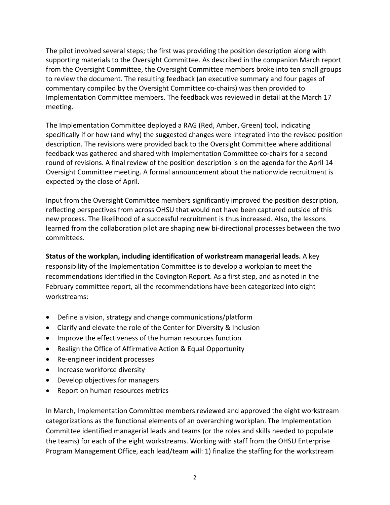The pilot involved several steps; the first was providing the position description along with supporting materials to the Oversight Committee. As described in the companion March report from the Oversight Committee, the Oversight Committee members broke into ten small groups to review the document. The resulting feedback (an executive summary and four pages of commentary compiled by the Oversight Committee co-chairs) was then provided to Implementation Committee members. The feedback was reviewed in detail at the March 17 meeting.

The Implementation Committee deployed a RAG (Red, Amber, Green) tool, indicating specifically if or how (and why) the suggested changes were integrated into the revised position description. The revisions were provided back to the Oversight Committee where additional feedback was gathered and shared with Implementation Committee co-chairs for a second round of revisions. A final review of the position description is on the agenda for the April 14 Oversight Committee meeting. A formal announcement about the nationwide recruitment is expected by the close of April.

Input from the Oversight Committee members significantly improved the position description, reflecting perspectives from across OHSU that would not have been captured outside of this new process. The likelihood of a successful recruitment is thus increased. Also, the lessons learned from the collaboration pilot are shaping new bi-directional processes between the two committees.

**Status of the workplan, including identification of workstream managerial leads.** A key responsibility of the Implementation Committee is to develop a workplan to meet the recommendations identified in the Covington Report. As a first step, and as noted in the February committee report, all the recommendations have been categorized into eight workstreams:

- Define a vision, strategy and change communications/platform
- Clarify and elevate the role of the Center for Diversity & Inclusion
- Improve the effectiveness of the human resources function
- Realign the Office of Affirmative Action & Equal Opportunity
- Re-engineer incident processes
- Increase workforce diversity
- Develop objectives for managers
- Report on human resources metrics

In March, Implementation Committee members reviewed and approved the eight workstream categorizations as the functional elements of an overarching workplan. The Implementation Committee identified managerial leads and teams (or the roles and skills needed to populate the teams) for each of the eight workstreams. Working with staff from the OHSU Enterprise Program Management Office, each lead/team will: 1) finalize the staffing for the workstream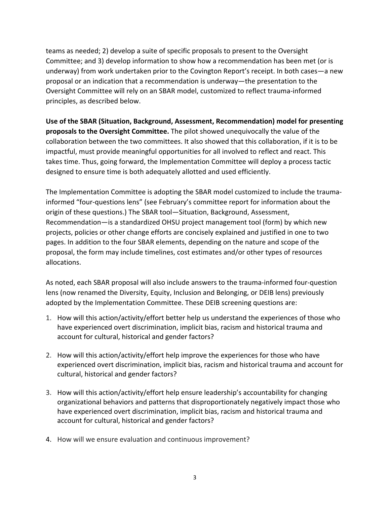teams as needed; 2) develop a suite of specific proposals to present to the Oversight Committee; and 3) develop information to show how a recommendation has been met (or is underway) from work undertaken prior to the Covington Report's receipt. In both cases—a new proposal or an indication that a recommendation is underway—the presentation to the Oversight Committee will rely on an SBAR model, customized to reflect trauma-informed principles, as described below.

**Use of the SBAR (Situation, Background, Assessment, Recommendation) model for presenting proposals to the Oversight Committee.** The pilot showed unequivocally the value of the collaboration between the two committees. It also showed that this collaboration, if it is to be impactful, must provide meaningful opportunities for all involved to reflect and react. This takes time. Thus, going forward, the Implementation Committee will deploy a process tactic designed to ensure time is both adequately allotted and used efficiently.

The Implementation Committee is adopting the SBAR model customized to include the traumainformed "four-questions lens" (see February's committee report for information about the origin of these questions.) The SBAR tool—Situation, Background, Assessment, Recommendation—is a standardized OHSU project management tool (form) by which new projects, policies or other change efforts are concisely explained and justified in one to two pages. In addition to the four SBAR elements, depending on the nature and scope of the proposal, the form may include timelines, cost estimates and/or other types of resources allocations.

As noted, each SBAR proposal will also include answers to the trauma-informed four-question lens (now renamed the Diversity, Equity, Inclusion and Belonging, or DEIB lens) previously adopted by the Implementation Committee. These DEIB screening questions are:

- 1. How will this action/activity/effort better help us understand the experiences of those who have experienced overt discrimination, implicit bias, racism and historical trauma and account for cultural, historical and gender factors?
- 2. How will this action/activity/effort help improve the experiences for those who have experienced overt discrimination, implicit bias, racism and historical trauma and account for cultural, historical and gender factors?
- 3. How will this action/activity/effort help ensure leadership's accountability for changing organizational behaviors and patterns that disproportionately negatively impact those who have experienced overt discrimination, implicit bias, racism and historical trauma and account for cultural, historical and gender factors?
- 4. How will we ensure evaluation and continuous improvement?